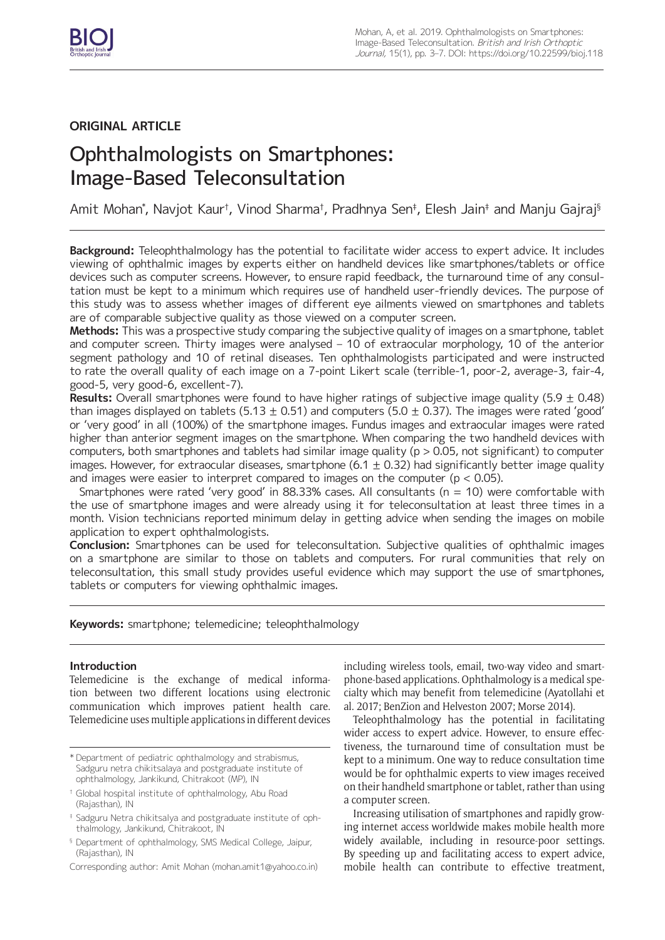

## **ORIGINAL ARTICLE**

# Ophthalmologists on Smartphones: Image-Based Teleconsultation

Amit Mohan\*, Navjot Kaur†, Vinod Sharma†, Pradhnya Sen‡, Elesh Jain‡ and Manju Gajraj§

**Background:** Teleophthalmology has the potential to facilitate wider access to expert advice. It includes viewing of ophthalmic images by experts either on handheld devices like smartphones/tablets or office devices such as computer screens. However, to ensure rapid feedback, the turnaround time of any consultation must be kept to a minimum which requires use of handheld user-friendly devices. The purpose of this study was to assess whether images of different eye ailments viewed on smartphones and tablets are of comparable subjective quality as those viewed on a computer screen.

**Methods:** This was a prospective study comparing the subjective quality of images on a smartphone, tablet and computer screen. Thirty images were analysed – 10 of extraocular morphology, 10 of the anterior segment pathology and 10 of retinal diseases. Ten ophthalmologists participated and were instructed to rate the overall quality of each image on a 7-point Likert scale (terrible-1, poor-2, average-3, fair-4, good-5, very good-6, excellent-7).

**Results:** Overall smartphones were found to have higher ratings of subjective image quality (5.9 ± 0.48) than images displayed on tablets (5.13  $\pm$  0.51) and computers (5.0  $\pm$  0.37). The images were rated 'good' or 'very good' in all (100%) of the smartphone images. Fundus images and extraocular images were rated higher than anterior segment images on the smartphone. When comparing the two handheld devices with computers, both smartphones and tablets had similar image quality ( $p > 0.05$ , not significant) to computer images. However, for extraocular diseases, smartphone (6.1  $\pm$  0.32) had significantly better image quality and images were easier to interpret compared to images on the computer ( $p < 0.05$ ).

Smartphones were rated 'very good' in 88.33% cases. All consultants ( $n = 10$ ) were comfortable with the use of smartphone images and were already using it for teleconsultation at least three times in a month. Vision technicians reported minimum delay in getting advice when sending the images on mobile application to expert ophthalmologists.

**Conclusion:** Smartphones can be used for teleconsultation. Subjective qualities of ophthalmic images on a smartphone are similar to those on tablets and computers. For rural communities that rely on teleconsultation, this small study provides useful evidence which may support the use of smartphones, tablets or computers for viewing ophthalmic images.

**Keywords:** smartphone; telemedicine; teleophthalmology

## **Introduction**

Telemedicine is the exchange of medical information between two different locations using electronic communication which improves patient health care. Telemedicine uses multiple applications in different devices including wireless tools, email, two-way video and smartphone-based applications. Ophthalmology is a medical specialty which may benefit from telemedicine (Ayatollahi et al. 2017; BenZion and Helveston 2007; Morse 2014).

Teleophthalmology has the potential in facilitating wider access to expert advice. However, to ensure effectiveness, the turnaround time of consultation must be kept to a minimum. One way to reduce consultation time would be for ophthalmic experts to view images received on their handheld smartphone or tablet, rather than using a computer screen.

Increasing utilisation of smartphones and rapidly growing internet access worldwide makes mobile health more widely available, including in resource-poor settings. By speeding up and facilitating access to expert advice, mobile health can contribute to effective treatment,

<sup>\*</sup> Department of pediatric ophthalmology and strabismus, Sadguru netra chikitsalaya and postgraduate institute of ophthalmology, Jankikund, Chitrakoot (MP), IN

<sup>†</sup> Global hospital institute of ophthalmology, Abu Road (Rajasthan), IN

<sup>‡</sup> Sadguru Netra chikitsalya and postgraduate institute of ophthalmology, Jankikund, Chitrakoot, IN

<sup>§</sup> Department of ophthalmology, SMS Medical College, Jaipur, (Rajasthan), IN

Corresponding author: Amit Mohan [\(mohan.amit1@yahoo.co.in\)](mailto:mohan.amit1@yahoo.co.in)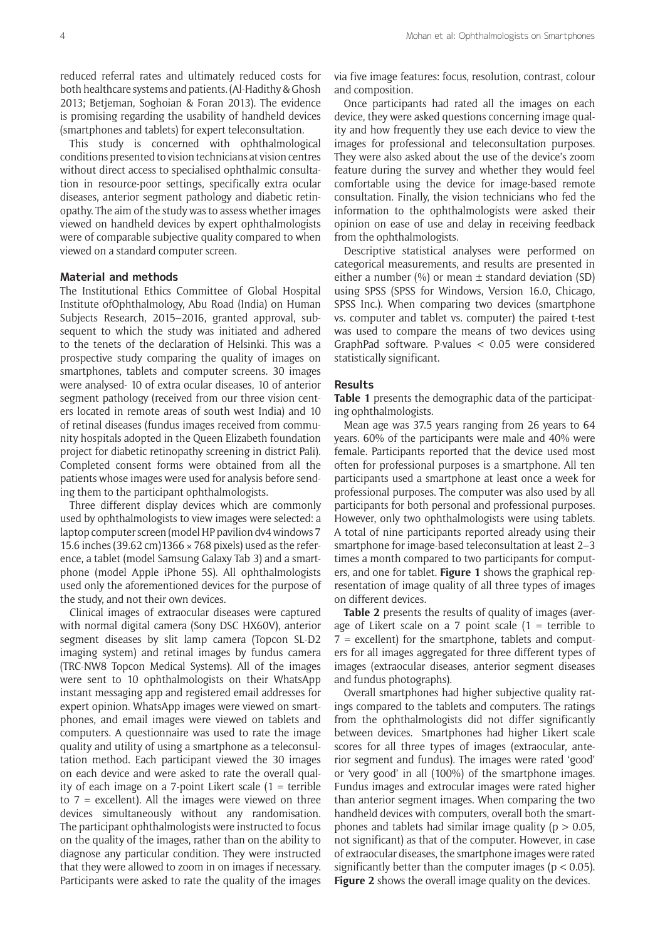reduced referral rates and ultimately reduced costs for both healthcare systems and patients. (Al-Hadithy & Ghosh 2013; Betjeman, Soghoian & Foran 2013). The evidence is promising regarding the usability of handheld devices (smartphones and tablets) for expert teleconsultation.

This study is concerned with ophthalmological conditions presented to vision technicians at vision centres without direct access to specialised ophthalmic consultation in resource-poor settings, specifically extra ocular diseases, anterior segment pathology and diabetic retinopathy. The aim of the study was to assess whether images viewed on handheld devices by expert ophthalmologists were of comparable subjective quality compared to when viewed on a standard computer screen.

## **Material and methods**

The Institutional Ethics Committee of Global Hospital Institute ofOphthalmology, Abu Road (India) on Human Subjects Research, 2015–2016, granted approval, subsequent to which the study was initiated and adhered to the tenets of the declaration of Helsinki. This was a prospective study comparing the quality of images on smartphones, tablets and computer screens. 30 images were analysed- 10 of extra ocular diseases, 10 of anterior segment pathology (received from our three vision centers located in remote areas of south west India) and 10 of retinal diseases (fundus images received from community hospitals adopted in the Queen Elizabeth foundation project for diabetic retinopathy screening in district Pali). Completed consent forms were obtained from all the patients whose images were used for analysis before sending them to the participant ophthalmologists.

Three different display devices which are commonly used by ophthalmologists to view images were selected: a laptop computer screen (model HP pavilion dv4 windows 7 15.6 inches (39.62 cm)1366 × 768 pixels) used as the reference, a tablet (model Samsung Galaxy Tab 3) and a smartphone (model Apple iPhone 5S). All ophthalmologists used only the aforementioned devices for the purpose of the study, and not their own devices.

Clinical images of extraocular diseases were captured with normal digital camera (Sony DSC HX60V), anterior segment diseases by slit lamp camera (Topcon SL-D2 imaging system) and retinal images by fundus camera (TRC-NW8 Topcon Medical Systems). All of the images were sent to 10 ophthalmologists on their WhatsApp instant messaging app and registered email addresses for expert opinion. WhatsApp images were viewed on smartphones, and email images were viewed on tablets and computers. A questionnaire was used to rate the image quality and utility of using a smartphone as a teleconsultation method. Each participant viewed the 30 images on each device and were asked to rate the overall quality of each image on a 7-point Likert scale  $(1 = \text{terrible})$ to  $7$  = excellent). All the images were viewed on three devices simultaneously without any randomisation. The participant ophthalmologists were instructed to focus on the quality of the images, rather than on the ability to diagnose any particular condition. They were instructed that they were allowed to zoom in on images if necessary. Participants were asked to rate the quality of the images

via five image features: focus, resolution, contrast, colour and composition.

Once participants had rated all the images on each device, they were asked questions concerning image quality and how frequently they use each device to view the images for professional and teleconsultation purposes. They were also asked about the use of the device's zoom feature during the survey and whether they would feel comfortable using the device for image-based remote consultation. Finally, the vision technicians who fed the information to the ophthalmologists were asked their opinion on ease of use and delay in receiving feedback from the ophthalmologists.

Descriptive statistical analyses were performed on categorical measurements, and results are presented in either a number  $(\%)$  or mean  $\pm$  standard deviation (SD) using SPSS (SPSS for Windows, Version 16.0, Chicago, SPSS Inc.). When comparing two devices (smartphone vs. computer and tablet vs. computer) the paired t-test was used to compare the means of two devices using GraphPad software. P-values < 0.05 were considered statistically significant.

#### **Results**

**Table 1** presents the demographic data of the participating ophthalmologists.

Mean age was 37.5 years ranging from 26 years to 64 years. 60% of the participants were male and 40% were female. Participants reported that the device used most often for professional purposes is a smartphone. All ten participants used a smartphone at least once a week for professional purposes. The computer was also used by all participants for both personal and professional purposes. However, only two ophthalmologists were using tablets. A total of nine participants reported already using their smartphone for image-based teleconsultation at least 2–3 times a month compared to two participants for computers, and one for tablet. **Figure 1** shows the graphical representation of image quality of all three types of images on different devices.

**Table 2** presents the results of quality of images (average of Likert scale on a 7 point scale  $(1 = \text{terrible to})$  $7$  = excellent) for the smartphone, tablets and computers for all images aggregated for three different types of images (extraocular diseases, anterior segment diseases and fundus photographs).

Overall smartphones had higher subjective quality ratings compared to the tablets and computers. The ratings from the ophthalmologists did not differ significantly between devices. Smartphones had higher Likert scale scores for all three types of images (extraocular, anterior segment and fundus). The images were rated 'good' or 'very good' in all (100%) of the smartphone images. Fundus images and extrocular images were rated higher than anterior segment images. When comparing the two handheld devices with computers, overall both the smartphones and tablets had similar image quality ( $p > 0.05$ . not significant) as that of the computer. However, in case of extraocular diseases, the smartphone images were rated significantly better than the computer images ( $p < 0.05$ ). **Figure 2** shows the overall image quality on the devices.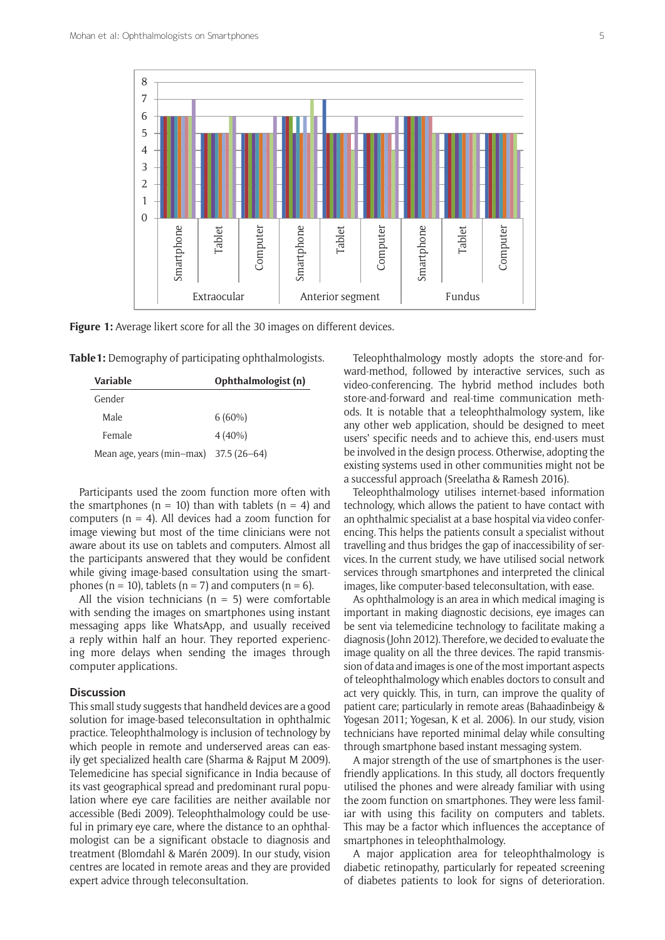

**Figure 1:** Average likert score for all the 30 images on different devices.

**Table1:** Demography of participating ophthalmologists.

| Variable                               | Ophthalmologist (n) |
|----------------------------------------|---------------------|
| Gender                                 |                     |
| Male                                   | $6(60\%)$           |
| Female                                 | $4(40\%)$           |
| Mean age, years (min-max) 37.5 (26-64) |                     |

Participants used the zoom function more often with the smartphones ( $n = 10$ ) than with tablets ( $n = 4$ ) and computers  $(n = 4)$ . All devices had a zoom function for image viewing but most of the time clinicians were not aware about its use on tablets and computers. Almost all the participants answered that they would be confident while giving image-based consultation using the smartphones ( $n = 10$ ), tablets ( $n = 7$ ) and computers ( $n = 6$ ).

All the vision technicians  $(n = 5)$  were comfortable with sending the images on smartphones using instant messaging apps like WhatsApp, and usually received a reply within half an hour. They reported experiencing more delays when sending the images through computer applications.

### **Discussion**

This small study suggests that handheld devices are a good solution for image-based teleconsultation in ophthalmic practice. Teleophthalmology is inclusion of technology by which people in remote and underserved areas can easily get specialized health care (Sharma & Rajput M 2009). Telemedicine has special significance in India because of its vast geographical spread and predominant rural population where eye care facilities are neither available nor accessible (Bedi 2009). Teleophthalmology could be useful in primary eye care, where the distance to an ophthalmologist can be a significant obstacle to diagnosis and treatment (Blomdahl & Marén 2009). In our study, vision centres are located in remote areas and they are provided expert advice through teleconsultation.

Teleophthalmology mostly adopts the store-and forward-method, followed by interactive services, such as video-conferencing. The hybrid method includes both store-and-forward and real-time communication methods. It is notable that a teleophthalmology system, like any other web application, should be designed to meet users' specific needs and to achieve this, end-users must be involved in the design process. Otherwise, adopting the existing systems used in other communities might not be a successful approach (Sreelatha & Ramesh 2016).

Teleophthalmology utilises internet-based information technology, which allows the patient to have contact with an ophthalmic specialist at a base hospital via video conferencing. This helps the patients consult a specialist without travelling and thus bridges the gap of inaccessibility of services. In the current study, we have utilised social network services through smartphones and interpreted the clinical images, like computer-based teleconsultation, with ease.

As ophthalmology is an area in which medical imaging is important in making diagnostic decisions, eye images can be sent via telemedicine technology to facilitate making a diagnosis (John 2012). Therefore, we decided to evaluate the image quality on all the three devices. The rapid transmission of data and images is one of the most important aspects of teleophthalmology which enables doctors to consult and act very quickly. This, in turn, can improve the quality of patient care; particularly in remote areas (Bahaadinbeigy & Yogesan 2011; Yogesan, K et al. 2006). In our study, vision technicians have reported minimal delay while consulting through smartphone based instant messaging system.

A major strength of the use of smartphones is the userfriendly applications. In this study, all doctors frequently utilised the phones and were already familiar with using the zoom function on smartphones. They were less familiar with using this facility on computers and tablets. This may be a factor which influences the acceptance of smartphones in teleophthalmology.

A major application area for teleophthalmology is diabetic retinopathy, particularly for repeated screening of diabetes patients to look for signs of deterioration.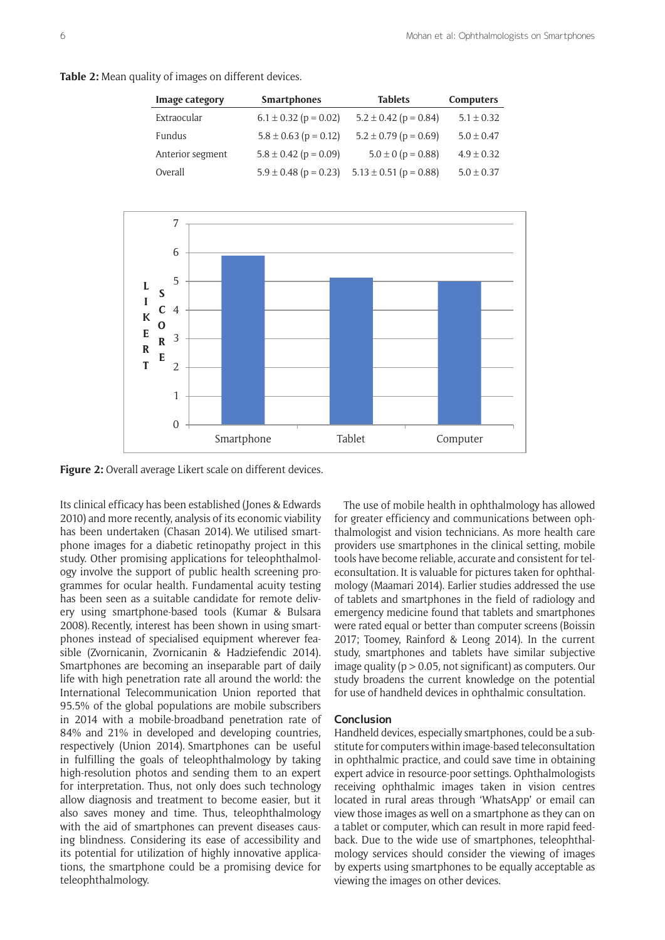**Table 2:** Mean quality of images on different devices.

| Image category   | <b>Smartphones</b>        | <b>Tablets</b>             | Computers      |
|------------------|---------------------------|----------------------------|----------------|
| Extraocular      | $6.1 \pm 0.32$ (p = 0.02) | $5.2 \pm 0.42$ (p = 0.84)  | $5.1 \pm 0.32$ |
| Fundus           | $5.8 \pm 0.63$ (p = 0.12) | $5.2 \pm 0.79$ (p = 0.69)  | $5.0 \pm 0.47$ |
| Anterior segment | $5.8 \pm 0.42$ (p = 0.09) | $5.0 \pm 0$ (p = 0.88)     | $4.9 \pm 0.32$ |
| Overall          | $5.9 \pm 0.48$ (p = 0.23) | $5.13 \pm 0.51$ (p = 0.88) | $5.0 \pm 0.37$ |



**Figure 2:** Overall average Likert scale on different devices.

Its clinical efficacy has been established (Jones & Edwards 2010) and more recently, analysis of its economic viability has been undertaken (Chasan 2014). We utilised smartphone images for a diabetic retinopathy project in this study. Other promising applications for teleophthalmology involve the support of public health screening programmes for ocular health. Fundamental acuity testing has been seen as a suitable candidate for remote delivery using smartphone-based tools (Kumar & Bulsara 2008). Recently, interest has been shown in using smartphones instead of specialised equipment wherever feasible (Zvornicanin, Zvornicanin & Hadziefendic 2014). Smartphones are becoming an inseparable part of daily life with high penetration rate all around the world: the International Telecommunication Union reported that 95.5% of the global populations are mobile subscribers in 2014 with a mobile-broadband penetration rate of 84% and 21% in developed and developing countries, respectively (Union 2014). Smartphones can be useful in fulfilling the goals of teleophthalmology by taking high-resolution photos and sending them to an expert for interpretation. Thus, not only does such technology allow diagnosis and treatment to become easier, but it also saves money and time. Thus, teleophthalmology with the aid of smartphones can prevent diseases causing blindness. Considering its ease of accessibility and its potential for utilization of highly innovative applications, the smartphone could be a promising device for teleophthalmology.

The use of mobile health in ophthalmology has allowed for greater efficiency and communications between ophthalmologist and vision technicians. As more health care providers use smartphones in the clinical setting, mobile tools have become reliable, accurate and consistent for teleconsultation. It is valuable for pictures taken for ophthalmology (Maamari 2014). Earlier studies addressed the use of tablets and smartphones in the field of radiology and emergency medicine found that tablets and smartphones were rated equal or better than computer screens (Boissin 2017; Toomey, Rainford & Leong 2014). In the current study, smartphones and tablets have similar subjective image quality ( $p > 0.05$ , not significant) as computers. Our study broadens the current knowledge on the potential for use of handheld devices in ophthalmic consultation.

## **Conclusion**

Handheld devices, especially smartphones, could be a substitute for computers within image-based teleconsultation in ophthalmic practice, and could save time in obtaining expert advice in resource-poor settings. Ophthalmologists receiving ophthalmic images taken in vision centres located in rural areas through 'WhatsApp' or email can view those images as well on a smartphone as they can on a tablet or computer, which can result in more rapid feedback. Due to the wide use of smartphones, teleophthalmology services should consider the viewing of images by experts using smartphones to be equally acceptable as viewing the images on other devices.